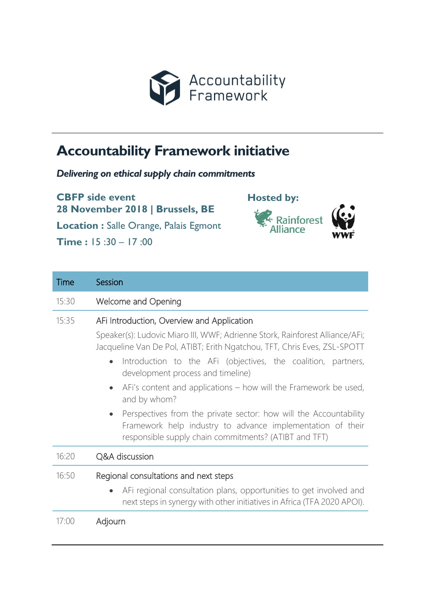

## **Accountability Framework initiative**

*Delivering on ethical supply chain commitments*

**CBFP side event 28 November 2018 | Brussels, BE Location :** Salle Orange, Palais Egmont

**Time :** 15 :30 – 17 :00



| Time  | Session                                                                                                                                                                                  |
|-------|------------------------------------------------------------------------------------------------------------------------------------------------------------------------------------------|
| 15:30 | <b>Welcome and Opening</b>                                                                                                                                                               |
| 15:35 | AFi Introduction, Overview and Application                                                                                                                                               |
|       | Speaker(s): Ludovic Miaro III, WWF; Adrienne Stork, Rainforest Alliance/AFi;<br>Jacqueline Van De Pol, ATIBT; Erith Ngatchou, TFT, Chris Eves, ZSL-SPOTT                                 |
|       | Introduction to the AFi (objectives, the coalition, partners,<br>$\bullet$<br>development process and timeline)                                                                          |
|       | AFi's content and applications - how will the Framework be used,<br>and by whom?                                                                                                         |
|       | Perspectives from the private sector: how will the Accountability<br>Framework help industry to advance implementation of their<br>responsible supply chain commitments? (ATIBT and TFT) |
| 16:20 | Q&A discussion                                                                                                                                                                           |
| 16:50 | Regional consultations and next steps                                                                                                                                                    |
|       | AFi regional consultation plans, opportunities to get involved and<br>$\bullet$<br>next steps in synergy with other initiatives in Africa (TFA 2020 APOI).                               |
| 17:00 | Adjourn                                                                                                                                                                                  |